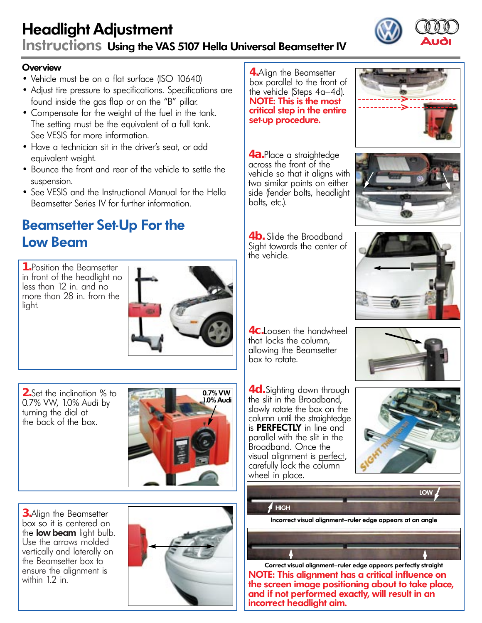## Headlight Adjustment Instructions Using the VAS 5107 Hella Universal Beamsetter IV

#### **Overview**

- Vehicle must be on a flat surface (ISO 10640)
- Adjust tire pressure to specifications. Specifications are found inside the gas flap or on the "B" pillar.
- Compensate for the weight of the fuel in the tank. The setting must be the equivalent of a full tank. See VESIS for more information.
- Have a technician sit in the driver's seat, or add equivalent weight.
- Bounce the front and rear of the vehicle to settle the suspension.
- See VESIS and the Instructional Manual for the Hella Beamsetter Series IV for further information.

## Beamsetter Set-Up For the Low Beam

**1.**Position the Beamsetter in front of the headlight no less than 12 in. and no more than 28 in. from the light.



**2.**Set the inclination % to 0.7% VW, 1.0% Audi by turning the dial at the back of the box.



**3.**Align the Beamsetter box so it is centered on the **low beam** light bulb. Use the arrows molded vertically and laterally on the Beamsetter box to ensure the alignment is within 12 in.



**4.**Align the Beamsetter box parallel to the front of the vehicle (Steps 4a–4d). NOTE: This is the most critical step in the entire set-up procedure.

**4a.**Place a straightedge across the front of the vehicle so that it aligns with two similar points on either side (fender bolts, headlight bolts, etc.).

**4b.** Slide the Broadband Sight towards the center of the vehicle.







**4c.**Loosen the handwheel that locks the column, allowing the Beamsetter box to rotate.

**4d.**Sighting down through the slit in the Broadband, slowly rotate the box on the column until the straightedge is **PERFECTLY** in line and parallel with the slit in the Broadband. Once the<br>visual alianment is perfect, carefully lock the column wheel in place.





LOW



Incorrect visual alignment–ruler edge appears at an angle



NOTE: This alignment has a critical influence on the screen image positioning about to take place, and if not performed exactly, will result in an incorrect headlight aim. Correct visual alignment–ruler edge appears perfectly straight